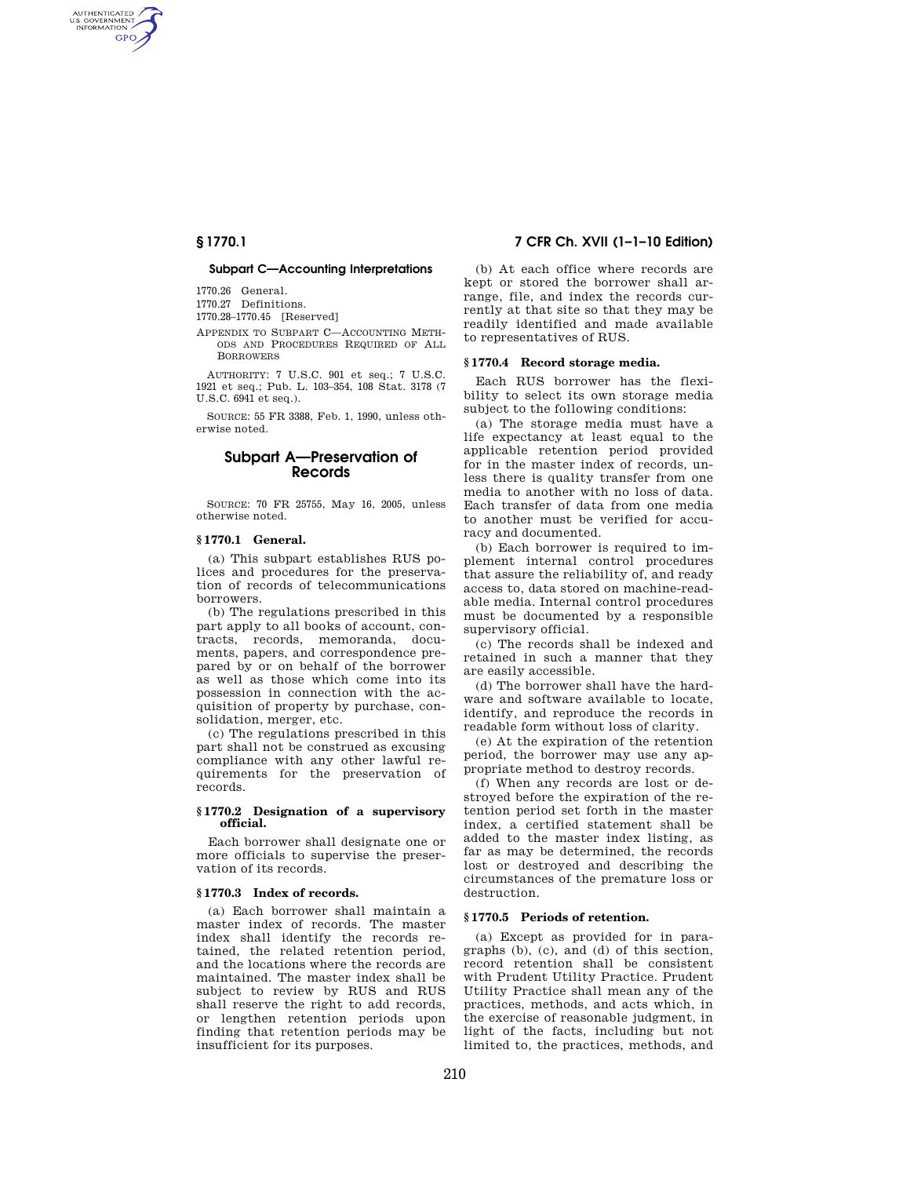AUTHENTICATED<br>U.S. GOVERNMENT<br>INFORMATION **GPO** 

#### **Subpart C—Accounting Interpretations**

1770.26 General.

1770.27 Definitions.

1770.28–1770.45 [Reserved]

APPENDIX TO SUBPART C—ACCOUNTING METH-ODS AND PROCEDURES REQUIRED OF ALL BORROWERS

AUTHORITY: 7 U.S.C. 901 et seq.; 7 U.S.C. 1921 et seq.; Pub. L. 103–354, 108 Stat. 3178 (7 U.S.C. 6941 et seq.).

SOURCE: 55 FR 3388, Feb. 1, 1990, unless otherwise noted.

# **Subpart A—Preservation of Records**

SOURCE: 70 FR 25755, May 16, 2005, unless otherwise noted.

#### **§ 1770.1 General.**

(a) This subpart establishes RUS polices and procedures for the preservation of records of telecommunications borrowers.

(b) The regulations prescribed in this part apply to all books of account, contracts, records, memoranda, documents, papers, and correspondence prepared by or on behalf of the borrower as well as those which come into its possession in connection with the acquisition of property by purchase, consolidation, merger, etc.

(c) The regulations prescribed in this part shall not be construed as excusing compliance with any other lawful requirements for the preservation of records.

#### **§ 1770.2 Designation of a supervisory official.**

Each borrower shall designate one or more officials to supervise the preservation of its records.

# **§ 1770.3 Index of records.**

(a) Each borrower shall maintain a master index of records. The master index shall identify the records retained, the related retention period, and the locations where the records are maintained. The master index shall be subject to review by RUS and RUS shall reserve the right to add records, or lengthen retention periods upon finding that retention periods may be insufficient for its purposes.

# **§ 1770.1 7 CFR Ch. XVII (1–1–10 Edition)**

(b) At each office where records are kept or stored the borrower shall arrange, file, and index the records currently at that site so that they may be readily identified and made available to representatives of RUS.

#### **§ 1770.4 Record storage media.**

Each RUS borrower has the flexibility to select its own storage media subject to the following conditions:

(a) The storage media must have a life expectancy at least equal to the applicable retention period provided for in the master index of records, unless there is quality transfer from one media to another with no loss of data. Each transfer of data from one media to another must be verified for accuracy and documented.

(b) Each borrower is required to implement internal control procedures that assure the reliability of, and ready access to, data stored on machine-readable media. Internal control procedures must be documented by a responsible supervisory official.

(c) The records shall be indexed and retained in such a manner that they are easily accessible.

(d) The borrower shall have the hardware and software available to locate, identify, and reproduce the records in readable form without loss of clarity.

(e) At the expiration of the retention period, the borrower may use any appropriate method to destroy records.

(f) When any records are lost or destroyed before the expiration of the retention period set forth in the master index, a certified statement shall be added to the master index listing, as far as may be determined, the records lost or destroyed and describing the circumstances of the premature loss or destruction.

### **§ 1770.5 Periods of retention.**

(a) Except as provided for in paragraphs (b), (c), and (d) of this section, record retention shall be consistent with Prudent Utility Practice. Prudent Utility Practice shall mean any of the practices, methods, and acts which, in the exercise of reasonable judgment, in light of the facts, including but not limited to, the practices, methods, and